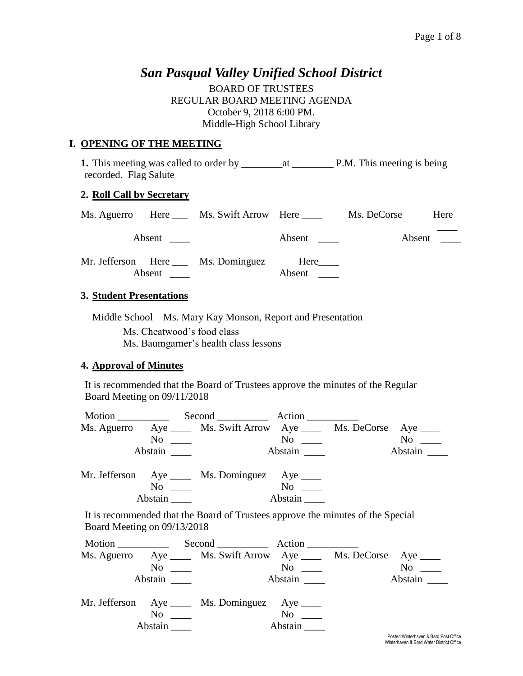## *San Pasqual Valley Unified School District*

BOARD OF TRUSTEES REGULAR BOARD MEETING AGENDA October 9, 2018 6:00 PM. Middle-High School Library

#### **I. OPENING OF THE MEETING**

**1.** This meeting was called to order by \_\_\_\_\_\_\_\_at \_\_\_\_\_\_\_\_ P.M. This meeting is being recorded. Flag Salute

#### **2. Roll Call by Secretary**

|               | Ms. Aguerro Here ___ Ms. Swift Arrow Here ____ |        | Ms. DeCorse | Here |
|---------------|------------------------------------------------|--------|-------------|------|
| Absent        |                                                | Absent | Absent      |      |
| <b>Absent</b> | Mr. Jefferson Here Ms. Dominguez Here          | Absent |             |      |

#### **3. Student Presentations**

Middle School – Ms. Mary Kay Monson, Report and Presentation Ms. Cheatwood's food class Ms. Baumgarner's health class lessons

#### **4. Approval of Minutes**

It is recommended that the Board of Trustees approve the minutes of the Regular Board Meeting on 09/11/2018

| Motion      |     | Second Action                                              |                      |  |         |  |
|-------------|-----|------------------------------------------------------------|----------------------|--|---------|--|
| Ms. Aguerro |     | Aye ______ Ms. Swift Arrow Aye _____ Ms. DeCorse Aye _____ |                      |  |         |  |
|             | No. |                                                            | $\mathrm{No}$ $\_\_$ |  | No no   |  |
| Abstain     |     |                                                            | Abstain              |  | Abstain |  |
|             |     |                                                            |                      |  |         |  |

| Mr. Jefferson Aye |         |         |
|-------------------|---------|---------|
|                   | Nο      | No      |
|                   | Abstain | Abstain |

It is recommended that the Board of Trustees approve the minutes of the Special Board Meeting on 09/13/2018

| Motion |                                                        | $Second$ $Action$                                                       |                      |                                              |
|--------|--------------------------------------------------------|-------------------------------------------------------------------------|----------------------|----------------------------------------------|
|        |                                                        | Ms. Aguerro Aye ______ Ms. Swift Arrow Aye ______ Ms. DeCorse Aye _____ |                      |                                              |
|        |                                                        | $\overline{\text{No}}$ $\overline{\text{)}}$                            | $No \ \_$            | N <sub>0</sub><br>$\mathcal{L}^{\text{max}}$ |
|        | Abstain                                                |                                                                         | Abstain              | Abstain                                      |
|        | $\overline{N}$ o $\overline{\phantom{nnn}}$<br>Abstain | Mr. Jefferson Aye _____ Ms. Dominguez Aye _____                         | $No \_\_$<br>Abstain |                                              |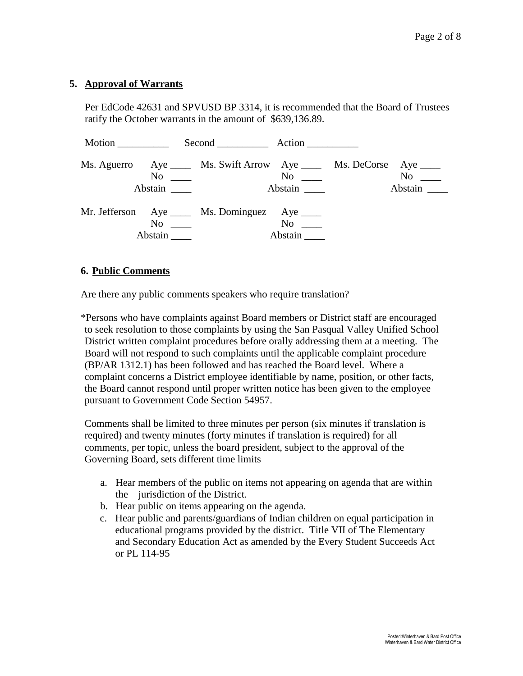#### **5. Approval of Warrants**

Per EdCode 42631 and SPVUSD BP 3314, it is recommended that the Board of Trustees ratify the October warrants in the amount of \$639,136.89.

| Motion |         | Second Action                                                                                                           |                  |                        |
|--------|---------|-------------------------------------------------------------------------------------------------------------------------|------------------|------------------------|
|        |         | Ms. Aguerro Aye _____ Ms. Swift Arrow Aye _____ Ms. DeCorse Aye ____<br>$\overline{\text{No}}$ $\overline{\phantom{0}}$ | No<br>Abstain __ | No<br>Abstain $\qquad$ |
|        | Abstain | Mr. Jefferson Aye _____ Ms. Dominguez Aye _____                                                                         | No no<br>Abstain |                        |

#### **6. Public Comments**

Are there any public comments speakers who require translation?

\*Persons who have complaints against Board members or District staff are encouraged to seek resolution to those complaints by using the San Pasqual Valley Unified School District written complaint procedures before orally addressing them at a meeting. The Board will not respond to such complaints until the applicable complaint procedure (BP/AR 1312.1) has been followed and has reached the Board level. Where a complaint concerns a District employee identifiable by name, position, or other facts, the Board cannot respond until proper written notice has been given to the employee pursuant to Government Code Section 54957.

Comments shall be limited to three minutes per person (six minutes if translation is required) and twenty minutes (forty minutes if translation is required) for all comments, per topic, unless the board president, subject to the approval of the Governing Board, sets different time limits

- a. Hear members of the public on items not appearing on agenda that are within the jurisdiction of the District.
- b. Hear public on items appearing on the agenda.
- c. Hear public and parents/guardians of Indian children on equal participation in educational programs provided by the district. Title VII of The Elementary and Secondary Education Act as amended by the Every Student Succeeds Act or PL 114-95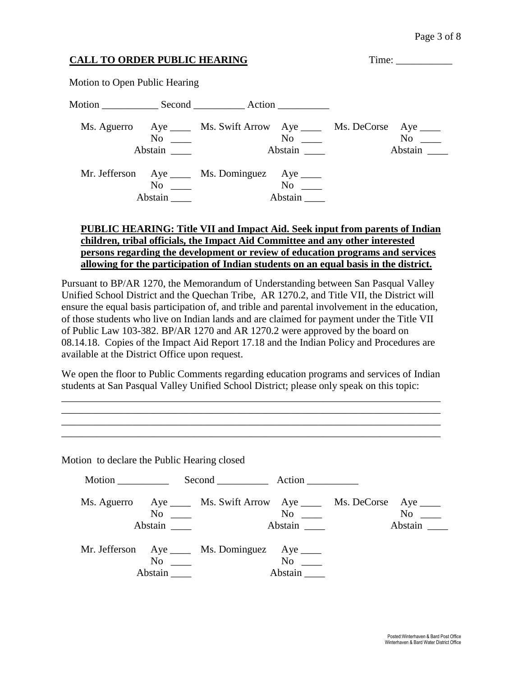# **CALL TO ORDER PUBLIC HEARING** Time: \_\_\_\_\_\_\_\_\_\_\_ Motion to Open Public Hearing Motion Second Action Ms. Aguerro Aye Ms. Swift Arrow Aye Ms. DeCorse Aye Ms.  $\frac{1}{N}$  Ms. DeCorse Aye Mo No \_\_\_\_ No \_\_\_\_ No \_\_\_\_ Abstain Abstain Abstain Abstain Abstain Abstain Abstain Abstain Abstain Abstain Abstain Abstain Abstain Abstain Mr. Jefferson Aye \_\_\_\_\_ Ms. Dominguez Aye \_\_\_\_ No \_\_\_ No \_\_ No \_\_ Abstain \_\_\_\_ Abstain \_\_\_\_

#### **PUBLIC HEARING: Title VII and Impact Aid. Seek input from parents of Indian children, tribal officials, the Impact Aid Committee and any other interested persons regarding the development or review of education programs and services allowing for the participation of Indian students on an equal basis in the district.**

Pursuant to BP/AR 1270, the Memorandum of Understanding between San Pasqual Valley Unified School District and the Quechan Tribe, AR 1270.2, and Title VII, the District will ensure the equal basis participation of, and trible and parental involvement in the education, of those students who live on Indian lands and are claimed for payment under the Title VII of Public Law 103-382. BP/AR 1270 and AR 1270.2 were approved by the board on 08.14.18. Copies of the Impact Aid Report 17.18 and the Indian Policy and Procedures are available at the District Office upon request.

We open the floor to Public Comments regarding education programs and services of Indian students at San Pasqual Valley Unified School District; please only speak on this topic:

\_\_\_\_\_\_\_\_\_\_\_\_\_\_\_\_\_\_\_\_\_\_\_\_\_\_\_\_\_\_\_\_\_\_\_\_\_\_\_\_\_\_\_\_\_\_\_\_\_\_\_\_\_\_\_\_\_\_\_\_\_\_\_\_\_\_\_\_\_\_\_\_\_\_ \_\_\_\_\_\_\_\_\_\_\_\_\_\_\_\_\_\_\_\_\_\_\_\_\_\_\_\_\_\_\_\_\_\_\_\_\_\_\_\_\_\_\_\_\_\_\_\_\_\_\_\_\_\_\_\_\_\_\_\_\_\_\_\_\_\_\_\_\_\_\_\_\_\_ \_\_\_\_\_\_\_\_\_\_\_\_\_\_\_\_\_\_\_\_\_\_\_\_\_\_\_\_\_\_\_\_\_\_\_\_\_\_\_\_\_\_\_\_\_\_\_\_\_\_\_\_\_\_\_\_\_\_\_\_\_\_\_\_\_\_\_\_\_\_\_\_\_\_ \_\_\_\_\_\_\_\_\_\_\_\_\_\_\_\_\_\_\_\_\_\_\_\_\_\_\_\_\_\_\_\_\_\_\_\_\_\_\_\_\_\_\_\_\_\_\_\_\_\_\_\_\_\_\_\_\_\_\_\_\_\_\_\_\_\_\_\_\_\_\_\_\_\_

Motion to declare the Public Hearing closed

| Motion |         | Second Action                                                                                  |                                                        |                                                                                                                                                                                                                                          |
|--------|---------|------------------------------------------------------------------------------------------------|--------------------------------------------------------|------------------------------------------------------------------------------------------------------------------------------------------------------------------------------------------------------------------------------------------|
|        | Abstain | Ms. Aguerro Aye _____ Ms. Swift Arrow Aye _____ Ms. DeCorse Aye ____<br>$\overline{\text{No}}$ | $\overline{N}$ o $\overline{\phantom{nnn}}$<br>Abstain | No note that the set of the set of the set of the set of the set of the set of the set of the set of the set of the set of the set of the set of the set of the set of the set of the set of the set of the set of the set of<br>Abstain |
|        | Abstain | Mr. Jefferson Aye _____ Ms. Dominguez Aye _____                                                | $No \ \_$<br>Abstain                                   |                                                                                                                                                                                                                                          |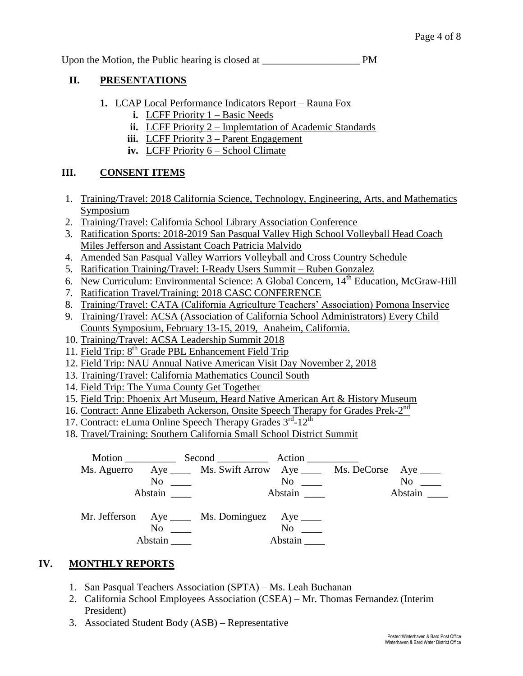Upon the Motion, the Public hearing is closed at PM

## **II. PRESENTATIONS**

- **1.** LCAP Local Performance Indicators Report Rauna Fox
	- **i.** LCFF Priority 1 Basic Needs
	- **ii.** LCFF Priority 2 Implemtation of Academic Standards
	- **iii.** LCFF Priority 3 Parent Engagement
	- **iv.** LCFF Priority 6 School Climate

## **III. CONSENT ITEMS**

- 1. Training/Travel: 2018 California Science, Technology, Engineering, Arts, and Mathematics Symposium
- 2. Training/Travel: California School Library Association Conference
- 3. Ratification Sports: 2018-2019 San Pasqual Valley High School Volleyball Head Coach Miles Jefferson and Assistant Coach Patricia Malvido
- 4. Amended San Pasqual Valley Warriors Volleyball and Cross Country Schedule
- 5. Ratification Training/Travel: I-Ready Users Summit Ruben Gonzalez
- 6. New Curriculum: Environmental Science: A Global Concern, 14<sup>th</sup> Education, McGraw-Hill
- 7. Ratification Travel/Training: 2018 CASC CONFERENCE
- 8. Training/Travel: CATA (California Agriculture Teachers' Association) Pomona Inservice
- 9. Training/Travel: ACSA (Association of California School Administrators) Every Child Counts Symposium, February 13-15, 2019, Anaheim, California.
- 10. Training/Travel: ACSA Leadership Summit 2018
- 11. Field Trip: 8<sup>th</sup> Grade PBL Enhancement Field Trip
- 12. Field Trip: NAU Annual Native American Visit Day November 2, 2018
- 13. Training/Travel: California Mathematics Council South
- 14. Field Trip: The Yuma County Get Together
- 15. Field Trip: Phoenix Art Museum, Heard Native American Art & History Museum
- 16. Contract: Anne Elizabeth Ackerson, Onsite Speech Therapy for Grades Prek-2<sup>nd</sup>
- 17. Contract: eLuma Online Speech Therapy Grades 3<sup>rd</sup>-12<sup>th</sup>
- 18. Travel/Training: Southern California Small School District Summit



## **IV. MONTHLY REPORTS**

- 1. San Pasqual Teachers Association (SPTA) Ms. Leah Buchanan
- 2. California School Employees Association (CSEA) Mr. Thomas Fernandez (Interim President)
- 3. Associated Student Body (ASB) Representative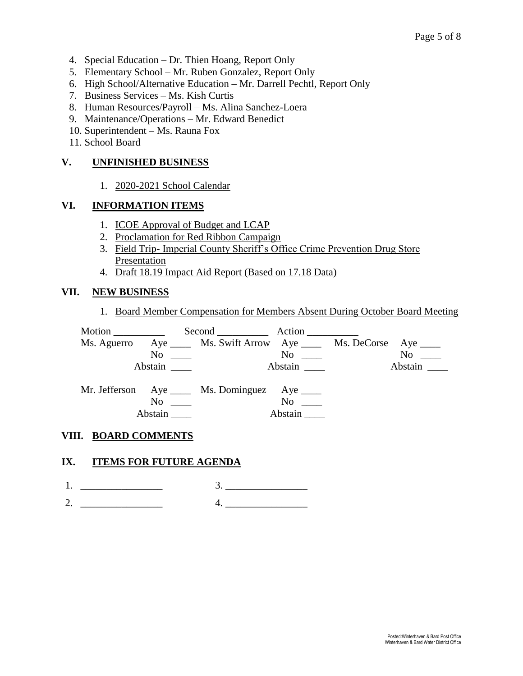- 4. Special Education Dr. Thien Hoang, Report Only
- 5. Elementary School Mr. Ruben Gonzalez, Report Only
- 6. High School/Alternative Education Mr. Darrell Pechtl, Report Only
- 7. Business Services Ms. Kish Curtis
- 8. Human Resources/Payroll Ms. Alina Sanchez-Loera
- 9. Maintenance/Operations Mr. Edward Benedict
- 10. Superintendent Ms. Rauna Fox
- 11. School Board

## **V. UNFINISHED BUSINESS**

1. 2020-2021 School Calendar

## **VI. INFORMATION ITEMS**

- 1. ICOE Approval of Budget and LCAP
- 2. Proclamation for Red Ribbon Campaign
- 3. Field Trip- Imperial County Sheriff's Office Crime Prevention Drug Store Presentation
- 4. Draft 18.19 Impact Aid Report (Based on 17.18 Data)

## **VII. NEW BUSINESS**

1. Board Member Compensation for Members Absent During October Board Meeting



## **VIII. BOARD COMMENTS**

#### **IX. ITEMS FOR FUTURE AGENDA**

- $1.$   $2.$
- 2.  $\frac{1}{2}$  4.  $\frac{1}{2}$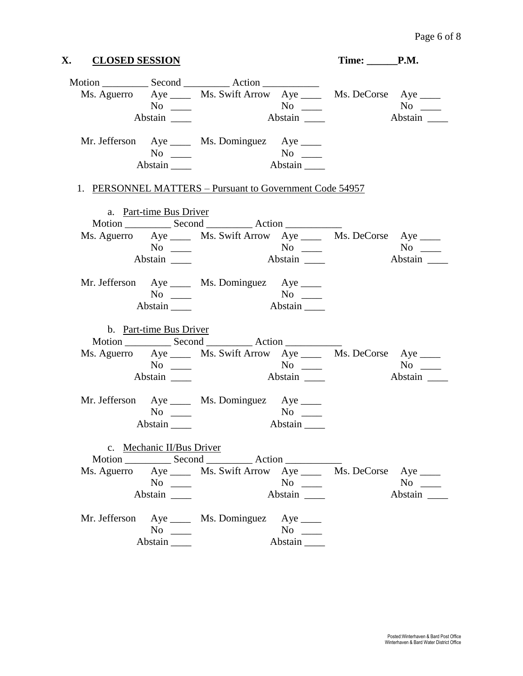| X. CLOSED SESSION |                            |                                                                         |         | Time: <u>CP.M.</u> |             |
|-------------------|----------------------------|-------------------------------------------------------------------------|---------|--------------------|-------------|
|                   |                            |                                                                         |         |                    |             |
|                   |                            | Ms. Aguerro Aye ______ Ms. Swift Arrow Aye ______ Ms. DeCorse Aye _____ |         |                    |             |
|                   | $No \ \_$                  |                                                                         |         |                    | $No \ \_$   |
|                   |                            |                                                                         |         |                    | Abstain     |
|                   |                            | Mr. Jefferson Aye ____ Ms. Dominguez Aye ____                           |         |                    |             |
|                   | $No \ \_$                  |                                                                         |         |                    |             |
|                   | $Abstain$ <sub>_____</sub> |                                                                         |         |                    |             |
|                   |                            | 1. PERSONNEL MATTERS – Pursuant to Government Code 54957                |         |                    |             |
|                   | a. Part-time Bus Driver    |                                                                         |         |                    |             |
|                   |                            |                                                                         |         |                    |             |
|                   |                            | Ms. Aguerro Aye ______ Ms. Swift Arrow Aye ______ Ms. DeCorse Aye _____ |         |                    |             |
|                   |                            |                                                                         |         |                    |             |
|                   | Abstain                    |                                                                         | Abstain |                    | Abstain     |
|                   |                            | Mr. Jefferson Aye _____ Ms. Dominguez Aye ____                          |         |                    |             |
|                   | $No \ \_$                  |                                                                         |         |                    |             |
|                   | Abstain ______             |                                                                         |         |                    |             |
|                   | b. Part-time Bus Driver    |                                                                         |         |                    |             |
|                   |                            |                                                                         |         |                    |             |
|                   |                            | Ms. Aguerro Aye _____ Ms. Swift Arrow Aye _____ Ms. DeCorse Aye ____    |         |                    |             |
|                   | $No \ \_$                  | $N^{\rm o}$ $\qquad \qquad$                                             |         |                    |             |
|                   | Abstain $\_\_$             |                                                                         | Abstain |                    | Abstain     |
|                   |                            | Mr. Jefferson Aye _____ Ms. Dominguez Aye _____                         |         |                    |             |
|                   | $No \ \_$                  |                                                                         |         |                    |             |
|                   | Abstain $\_\_\_\_\$        |                                                                         | Abstain |                    |             |
|                   | c. Mechanic II/Bus Driver  |                                                                         |         |                    |             |
|                   |                            |                                                                         |         |                    |             |
|                   |                            | Ms. Aguerro Aye _____ Ms. Swift Arrow Aye _____ Ms. DeCorse Aye ____    |         |                    |             |
|                   | $No \ \_$                  |                                                                         |         |                    | No $\qquad$ |
|                   | Abstain                    |                                                                         | Abstain |                    | Abstain     |
|                   |                            | Mr. Jefferson Aye _____ Ms. Dominguez Aye ____                          |         |                    |             |
|                   | $No \ \_$                  |                                                                         | $No \_$ |                    |             |
|                   | Abstain                    |                                                                         | Abstain |                    |             |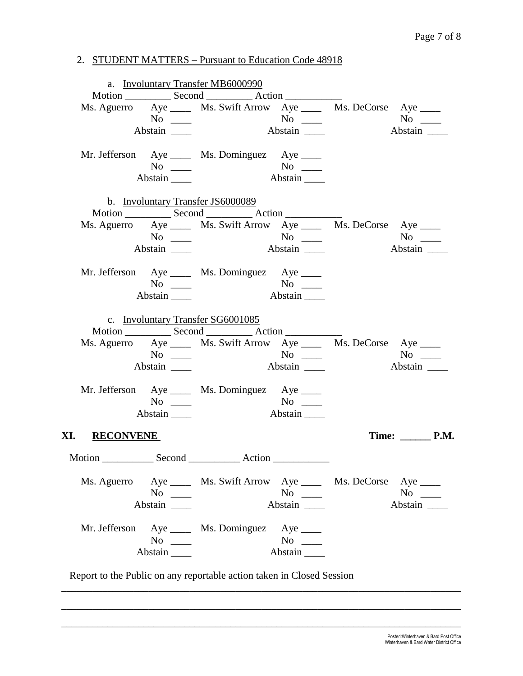# 2. STUDENT MATTERS – Pursuant to Education Code 48918

|                      |                                             | a. Involuntary Transfer MB6000990                                       |               |                              |  |
|----------------------|---------------------------------------------|-------------------------------------------------------------------------|---------------|------------------------------|--|
|                      |                                             |                                                                         |               |                              |  |
|                      |                                             | Ms. Aguerro Aye ______ Ms. Swift Arrow Aye ______ Ms. DeCorse Aye _____ |               |                              |  |
|                      |                                             |                                                                         |               | $No \ \_$                    |  |
|                      | Abstain $\_\_$                              |                                                                         |               |                              |  |
|                      |                                             | Mr. Jefferson Aye _____ Ms. Dominguez Aye _____                         |               |                              |  |
|                      | $No \ \_$                                   |                                                                         |               |                              |  |
|                      | Abstain $\_\_\_\$                           |                                                                         |               |                              |  |
|                      |                                             | b. Involuntary Transfer JS6000089                                       |               |                              |  |
|                      |                                             |                                                                         |               |                              |  |
|                      |                                             | Ms. Aguerro Aye _____ Ms. Swift Arrow Aye _____ Ms. DeCorse Aye ____    |               |                              |  |
|                      | $\overline{N_{0}}$ $\overline{\phantom{0}}$ |                                                                         |               |                              |  |
|                      | Abstain                                     |                                                                         |               | Abstain                      |  |
|                      |                                             | Mr. Jefferson Aye _____ Ms. Dominguez Aye _____                         |               |                              |  |
|                      | $No \ \_$                                   |                                                                         |               |                              |  |
|                      | Abstain                                     |                                                                         |               |                              |  |
|                      |                                             | c. Involuntary Transfer SG6001085                                       |               |                              |  |
|                      |                                             |                                                                         |               |                              |  |
|                      |                                             | Ms. Aguerro Aye _____ Ms. Swift Arrow Aye _____ Ms. DeCorse Aye ____    |               |                              |  |
|                      |                                             | $N$ o                                                                   |               | $No \ \_$                    |  |
|                      | Abstain                                     |                                                                         | Abstain       | Abstain                      |  |
|                      |                                             | Mr. Jefferson Aye _____ Ms. Dominguez Aye _____                         |               |                              |  |
|                      | $No \ \_$                                   |                                                                         | No<br>Abstain |                              |  |
|                      | Abstain                                     |                                                                         |               |                              |  |
| XI. <u>RECONVENE</u> |                                             |                                                                         |               | Time: $\_\_\_\_\_\_\_\$ P.M. |  |
|                      |                                             |                                                                         |               |                              |  |
|                      |                                             | Ms. Aguerro Aye _____ Ms. Swift Arrow Aye _____ Ms. DeCorse Aye ____    |               |                              |  |
|                      | $No \ \_$                                   |                                                                         | $No \ \_$     | $No \_$                      |  |
|                      | Abstain                                     |                                                                         |               | Abstain                      |  |
|                      |                                             | Mr. Jefferson Aye _____ Ms. Dominguez Aye ____                          |               |                              |  |
|                      | $No \ \_$                                   |                                                                         | $No \ \_$     |                              |  |
|                      | Abstain                                     |                                                                         | Abstain       |                              |  |
|                      |                                             |                                                                         |               |                              |  |

Report to the Public on any reportable action taken in Closed Session

\_\_\_\_\_\_\_\_\_\_\_\_\_\_\_\_\_\_\_\_\_\_\_\_\_\_\_\_\_\_\_\_\_\_\_\_\_\_\_\_\_\_\_\_\_\_\_\_\_\_\_\_\_\_\_\_\_\_\_\_\_\_\_\_\_\_\_\_\_\_\_\_\_\_\_\_\_\_

\_\_\_\_\_\_\_\_\_\_\_\_\_\_\_\_\_\_\_\_\_\_\_\_\_\_\_\_\_\_\_\_\_\_\_\_\_\_\_\_\_\_\_\_\_\_\_\_\_\_\_\_\_\_\_\_\_\_\_\_\_\_\_\_\_\_\_\_\_\_\_\_\_\_\_\_\_\_

\_\_\_\_\_\_\_\_\_\_\_\_\_\_\_\_\_\_\_\_\_\_\_\_\_\_\_\_\_\_\_\_\_\_\_\_\_\_\_\_\_\_\_\_\_\_\_\_\_\_\_\_\_\_\_\_\_\_\_\_\_\_\_\_\_\_\_\_\_\_\_\_\_\_\_\_\_\_